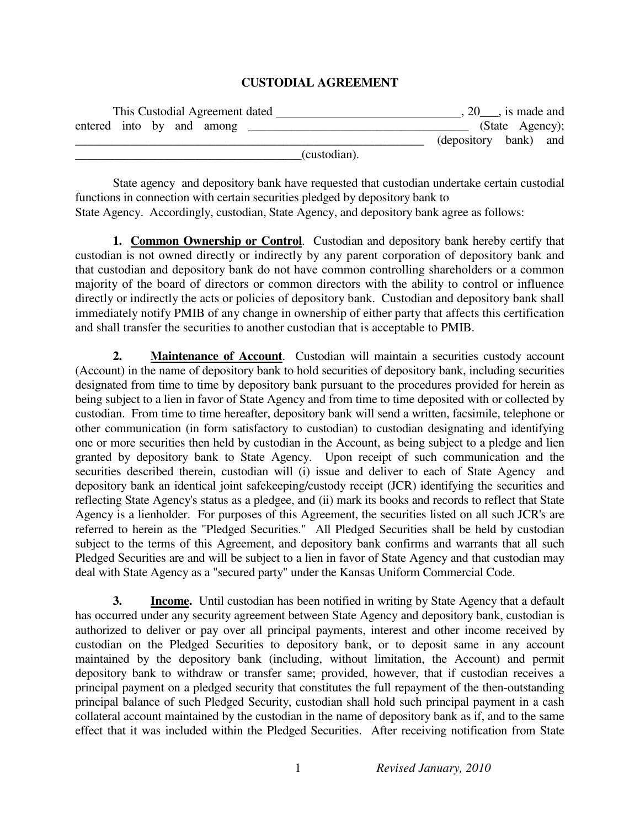## **CUSTODIAL AGREEMENT**

| This Custodial Agreement dated |              |                       | 20, is made and |  |
|--------------------------------|--------------|-----------------------|-----------------|--|
| entered into by and among      |              |                       | (State Agency); |  |
|                                |              | (depository bank) and |                 |  |
|                                | (custodian). |                       |                 |  |

 State agency and depository bank have requested that custodian undertake certain custodial functions in connection with certain securities pledged by depository bank to State Agency. Accordingly, custodian, State Agency, and depository bank agree as follows:

**1. Common Ownership or Control**. Custodian and depository bank hereby certify that custodian is not owned directly or indirectly by any parent corporation of depository bank and that custodian and depository bank do not have common controlling shareholders or a common majority of the board of directors or common directors with the ability to control or influence directly or indirectly the acts or policies of depository bank. Custodian and depository bank shall immediately notify PMIB of any change in ownership of either party that affects this certification and shall transfer the securities to another custodian that is acceptable to PMIB.

**2. Maintenance of Account.** Custodian will maintain a securities custody account (Account) in the name of depository bank to hold securities of depository bank, including securities designated from time to time by depository bank pursuant to the procedures provided for herein as being subject to a lien in favor of State Agency and from time to time deposited with or collected by custodian. From time to time hereafter, depository bank will send a written, facsimile, telephone or other communication (in form satisfactory to custodian) to custodian designating and identifying one or more securities then held by custodian in the Account, as being subject to a pledge and lien granted by depository bank to State Agency. Upon receipt of such communication and the securities described therein, custodian will (i) issue and deliver to each of State Agency and depository bank an identical joint safekeeping/custody receipt (JCR) identifying the securities and reflecting State Agency's status as a pledgee, and (ii) mark its books and records to reflect that State Agency is a lienholder. For purposes of this Agreement, the securities listed on all such JCR's are referred to herein as the "Pledged Securities." All Pledged Securities shall be held by custodian subject to the terms of this Agreement, and depository bank confirms and warrants that all such Pledged Securities are and will be subject to a lien in favor of State Agency and that custodian may deal with State Agency as a "secured party" under the Kansas Uniform Commercial Code.

**3.** Income. Until custodian has been notified in writing by State Agency that a default has occurred under any security agreement between State Agency and depository bank, custodian is authorized to deliver or pay over all principal payments, interest and other income received by custodian on the Pledged Securities to depository bank, or to deposit same in any account maintained by the depository bank (including, without limitation, the Account) and permit depository bank to withdraw or transfer same; provided, however, that if custodian receives a principal payment on a pledged security that constitutes the full repayment of the then-outstanding principal balance of such Pledged Security, custodian shall hold such principal payment in a cash collateral account maintained by the custodian in the name of depository bank as if, and to the same effect that it was included within the Pledged Securities. After receiving notification from State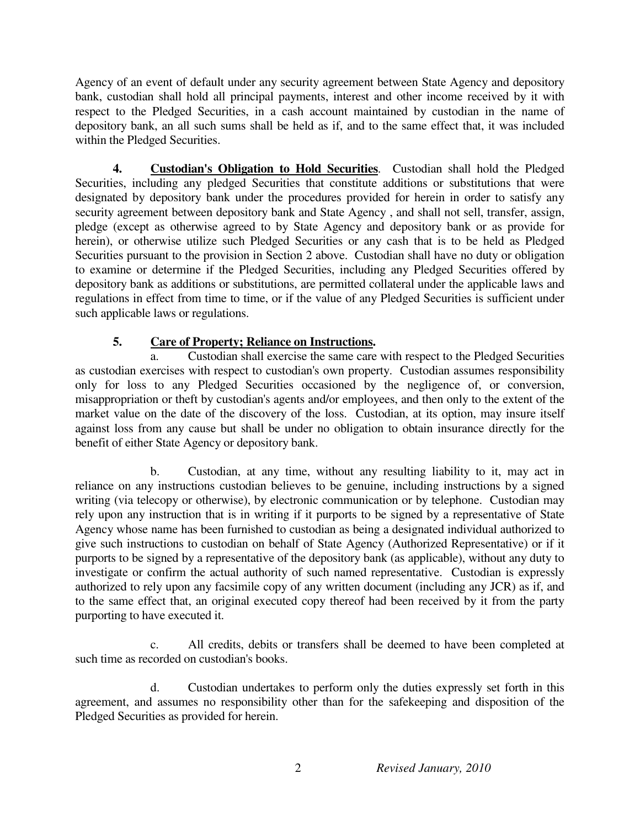Agency of an event of default under any security agreement between State Agency and depository bank, custodian shall hold all principal payments, interest and other income received by it with respect to the Pledged Securities, in a cash account maintained by custodian in the name of depository bank, an all such sums shall be held as if, and to the same effect that, it was included within the Pledged Securities.

**4. Custodian's Obligation to Hold Securities**. Custodian shall hold the Pledged Securities, including any pledged Securities that constitute additions or substitutions that were designated by depository bank under the procedures provided for herein in order to satisfy any security agreement between depository bank and State Agency , and shall not sell, transfer, assign, pledge (except as otherwise agreed to by State Agency and depository bank or as provide for herein), or otherwise utilize such Pledged Securities or any cash that is to be held as Pledged Securities pursuant to the provision in Section 2 above. Custodian shall have no duty or obligation to examine or determine if the Pledged Securities, including any Pledged Securities offered by depository bank as additions or substitutions, are permitted collateral under the applicable laws and regulations in effect from time to time, or if the value of any Pledged Securities is sufficient under such applicable laws or regulations.

## **5. Care of Property; Reliance on Instructions.**

a. Custodian shall exercise the same care with respect to the Pledged Securities as custodian exercises with respect to custodian's own property. Custodian assumes responsibility only for loss to any Pledged Securities occasioned by the negligence of, or conversion, misappropriation or theft by custodian's agents and/or employees, and then only to the extent of the market value on the date of the discovery of the loss. Custodian, at its option, may insure itself against loss from any cause but shall be under no obligation to obtain insurance directly for the benefit of either State Agency or depository bank.

 b. Custodian, at any time, without any resulting liability to it, may act in reliance on any instructions custodian believes to be genuine, including instructions by a signed writing (via telecopy or otherwise), by electronic communication or by telephone. Custodian may rely upon any instruction that is in writing if it purports to be signed by a representative of State Agency whose name has been furnished to custodian as being a designated individual authorized to give such instructions to custodian on behalf of State Agency (Authorized Representative) or if it purports to be signed by a representative of the depository bank (as applicable), without any duty to investigate or confirm the actual authority of such named representative. Custodian is expressly authorized to rely upon any facsimile copy of any written document (including any JCR) as if, and to the same effect that, an original executed copy thereof had been received by it from the party purporting to have executed it.

 c. All credits, debits or transfers shall be deemed to have been completed at such time as recorded on custodian's books.

 d. Custodian undertakes to perform only the duties expressly set forth in this agreement, and assumes no responsibility other than for the safekeeping and disposition of the Pledged Securities as provided for herein.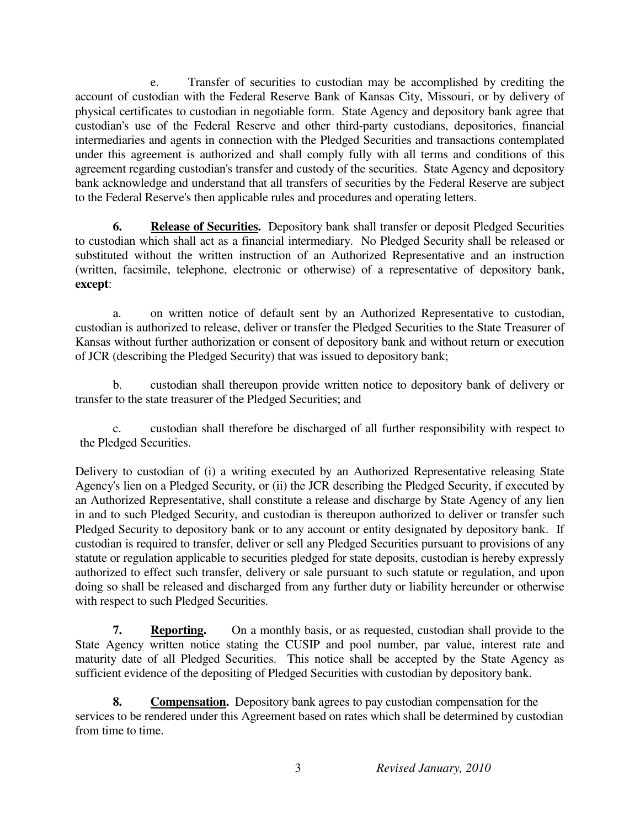e. Transfer of securities to custodian may be accomplished by crediting the account of custodian with the Federal Reserve Bank of Kansas City, Missouri, or by delivery of physical certificates to custodian in negotiable form. State Agency and depository bank agree that custodian's use of the Federal Reserve and other third-party custodians, depositories, financial intermediaries and agents in connection with the Pledged Securities and transactions contemplated under this agreement is authorized and shall comply fully with all terms and conditions of this agreement regarding custodian's transfer and custody of the securities. State Agency and depository bank acknowledge and understand that all transfers of securities by the Federal Reserve are subject to the Federal Reserve's then applicable rules and procedures and operating letters.

**6. Release of Securities.** Depository bank shall transfer or deposit Pledged Securities to custodian which shall act as a financial intermediary. No Pledged Security shall be released or substituted without the written instruction of an Authorized Representative and an instruction (written, facsimile, telephone, electronic or otherwise) of a representative of depository bank, **except**:

 a. on written notice of default sent by an Authorized Representative to custodian, custodian is authorized to release, deliver or transfer the Pledged Securities to the State Treasurer of Kansas without further authorization or consent of depository bank and without return or execution of JCR (describing the Pledged Security) that was issued to depository bank;

 b. custodian shall thereupon provide written notice to depository bank of delivery or transfer to the state treasurer of the Pledged Securities; and

 c. custodian shall therefore be discharged of all further responsibility with respect to the Pledged Securities.

Delivery to custodian of (i) a writing executed by an Authorized Representative releasing State Agency's lien on a Pledged Security, or (ii) the JCR describing the Pledged Security, if executed by an Authorized Representative, shall constitute a release and discharge by State Agency of any lien in and to such Pledged Security, and custodian is thereupon authorized to deliver or transfer such Pledged Security to depository bank or to any account or entity designated by depository bank. If custodian is required to transfer, deliver or sell any Pledged Securities pursuant to provisions of any statute or regulation applicable to securities pledged for state deposits, custodian is hereby expressly authorized to effect such transfer, delivery or sale pursuant to such statute or regulation, and upon doing so shall be released and discharged from any further duty or liability hereunder or otherwise with respect to such Pledged Securities.

**7. Reporting.** On a monthly basis, or as requested, custodian shall provide to the State Agency written notice stating the CUSIP and pool number, par value, interest rate and maturity date of all Pledged Securities. This notice shall be accepted by the State Agency as sufficient evidence of the depositing of Pledged Securities with custodian by depository bank.

**8. Compensation.** Depository bank agrees to pay custodian compensation for the services to be rendered under this Agreement based on rates which shall be determined by custodian from time to time.

3 *Revised January, 2010*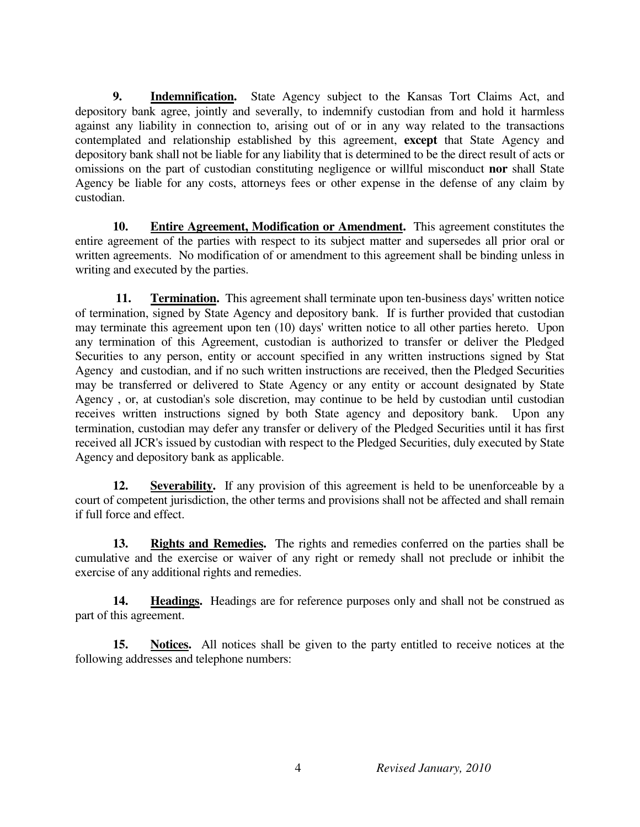**9. Indemnification.** State Agency subject to the Kansas Tort Claims Act, and depository bank agree, jointly and severally, to indemnify custodian from and hold it harmless against any liability in connection to, arising out of or in any way related to the transactions contemplated and relationship established by this agreement, **except** that State Agency and depository bank shall not be liable for any liability that is determined to be the direct result of acts or omissions on the part of custodian constituting negligence or willful misconduct **nor** shall State Agency be liable for any costs, attorneys fees or other expense in the defense of any claim by custodian.

**10. Entire Agreement, Modification or Amendment.** This agreement constitutes the entire agreement of the parties with respect to its subject matter and supersedes all prior oral or written agreements. No modification of or amendment to this agreement shall be binding unless in writing and executed by the parties.

**11.** Termination. This agreement shall terminate upon ten-business days' written notice of termination, signed by State Agency and depository bank. If is further provided that custodian may terminate this agreement upon ten (10) days' written notice to all other parties hereto. Upon any termination of this Agreement, custodian is authorized to transfer or deliver the Pledged Securities to any person, entity or account specified in any written instructions signed by Stat Agency and custodian, and if no such written instructions are received, then the Pledged Securities may be transferred or delivered to State Agency or any entity or account designated by State Agency , or, at custodian's sole discretion, may continue to be held by custodian until custodian receives written instructions signed by both State agency and depository bank. Upon any termination, custodian may defer any transfer or delivery of the Pledged Securities until it has first received all JCR's issued by custodian with respect to the Pledged Securities, duly executed by State Agency and depository bank as applicable.

**12.** Severability. If any provision of this agreement is held to be unenforceable by a court of competent jurisdiction, the other terms and provisions shall not be affected and shall remain if full force and effect.

 **13. Rights and Remedies.** The rights and remedies conferred on the parties shall be cumulative and the exercise or waiver of any right or remedy shall not preclude or inhibit the exercise of any additional rights and remedies.

14. **Headings.** Headings are for reference purposes only and shall not be construed as part of this agreement.

 **15. Notices.** All notices shall be given to the party entitled to receive notices at the following addresses and telephone numbers: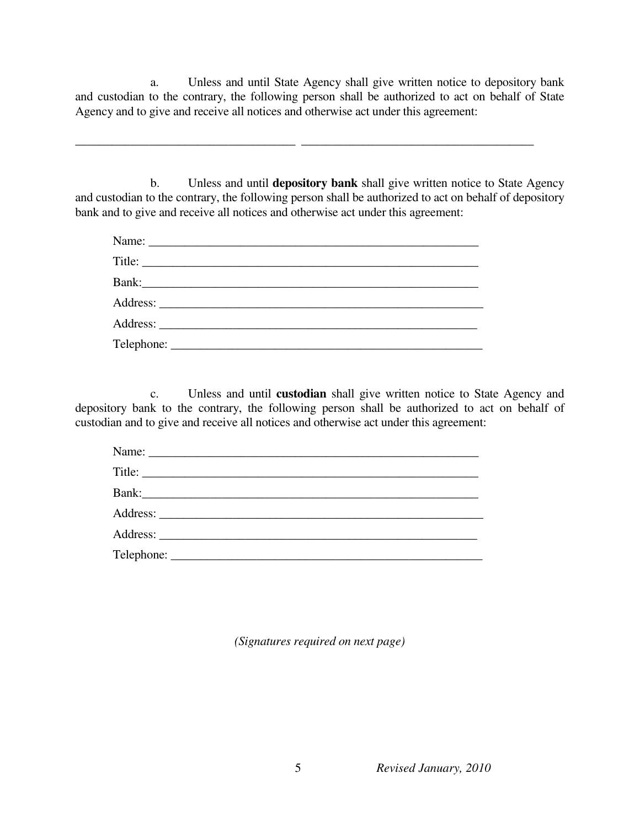a. Unless and until State Agency shall give written notice to depository bank and custodian to the contrary, the following person shall be authorized to act on behalf of State Agency and to give and receive all notices and otherwise act under this agreement:

\_\_\_\_\_\_\_\_\_\_\_\_\_\_\_\_\_\_\_\_\_\_\_\_\_\_\_\_\_\_\_\_\_\_\_\_ \_\_\_\_\_\_\_\_\_\_\_\_\_\_\_\_\_\_\_\_\_\_\_\_\_\_\_\_\_\_\_\_\_\_\_\_\_\_

 b. Unless and until **depository bank** shall give written notice to State Agency and custodian to the contrary, the following person shall be authorized to act on behalf of depository bank and to give and receive all notices and otherwise act under this agreement:

 c. Unless and until **custodian** shall give written notice to State Agency and depository bank to the contrary, the following person shall be authorized to act on behalf of custodian and to give and receive all notices and otherwise act under this agreement:

|  | Name: |  |
|--|-------|--|
|  |       |  |
|  | Bank: |  |
|  |       |  |
|  |       |  |
|  |       |  |

*(Signatures required on next page)*